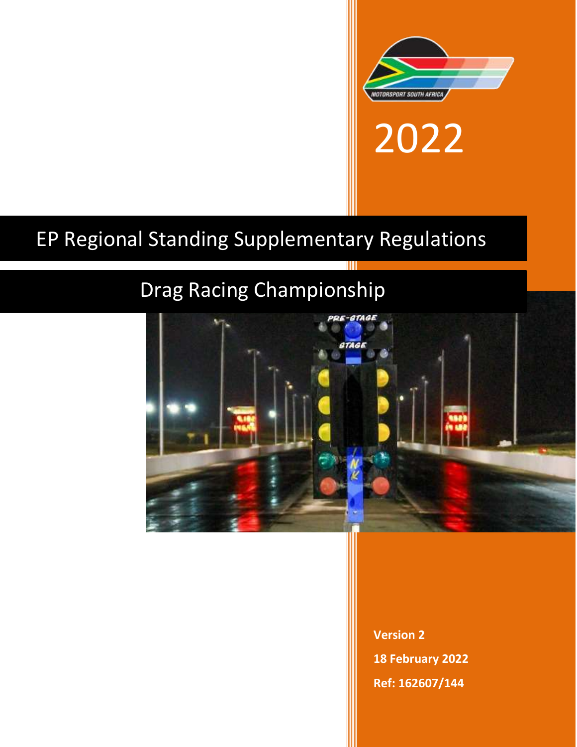

2022

# EP Regional Standing Supplementary Regulations

# Drag Racing Championship



**Version 2 18 February 2022 Ref: 162607/144**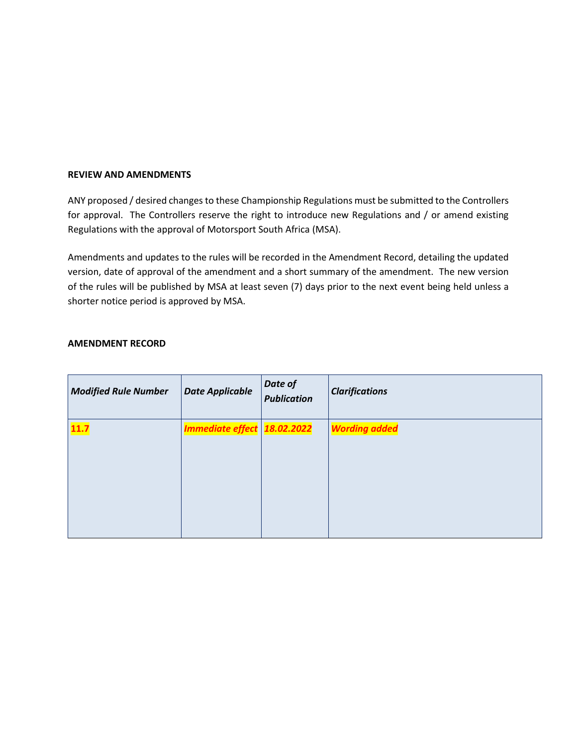#### **REVIEW AND AMENDMENTS**

ANY proposed / desired changes to these Championship Regulations must be submitted to the Controllers for approval. The Controllers reserve the right to introduce new Regulations and / or amend existing Regulations with the approval of Motorsport South Africa (MSA).

Amendments and updates to the rules will be recorded in the Amendment Record, detailing the updated version, date of approval of the amendment and a short summary of the amendment. The new version of the rules will be published by MSA at least seven (7) days prior to the next event being held unless a shorter notice period is approved by MSA.

#### **AMENDMENT RECORD**

| <b>Modified Rule Number</b> | <b>Date Applicable</b>               | Date of<br><b>Publication</b> | <b>Clarifications</b> |
|-----------------------------|--------------------------------------|-------------------------------|-----------------------|
| 11.7                        | <b>Immediate effect</b>   18.02.2022 |                               | <b>Wording added</b>  |
|                             |                                      |                               |                       |
|                             |                                      |                               |                       |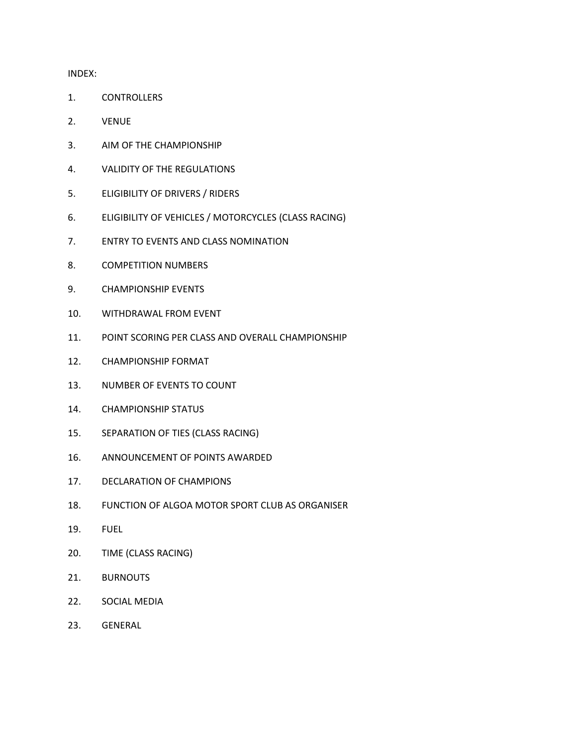INDEX:

- 1. CONTROLLERS
- 2. VENUE
- 3. AIM OF THE CHAMPIONSHIP
- 4. VALIDITY OF THE REGULATIONS
- 5. ELIGIBILITY OF DRIVERS / RIDERS
- 6. ELIGIBILITY OF VEHICLES / MOTORCYCLES (CLASS RACING)
- 7. ENTRY TO EVENTS AND CLASS NOMINATION
- 8. COMPETITION NUMBERS
- 9. CHAMPIONSHIP EVENTS
- 10. WITHDRAWAL FROM EVENT
- 11. POINT SCORING PER CLASS AND OVERALL CHAMPIONSHIP
- 12. CHAMPIONSHIP FORMAT
- 13. NUMBER OF EVENTS TO COUNT
- 14. CHAMPIONSHIP STATUS
- 15. SEPARATION OF TIES (CLASS RACING)
- 16. ANNOUNCEMENT OF POINTS AWARDED
- 17. DECLARATION OF CHAMPIONS
- 18. FUNCTION OF ALGOA MOTOR SPORT CLUB AS ORGANISER
- 19. FUEL
- 20. TIME (CLASS RACING)
- 21. BURNOUTS
- 22. SOCIAL MEDIA
- 23. GENERAL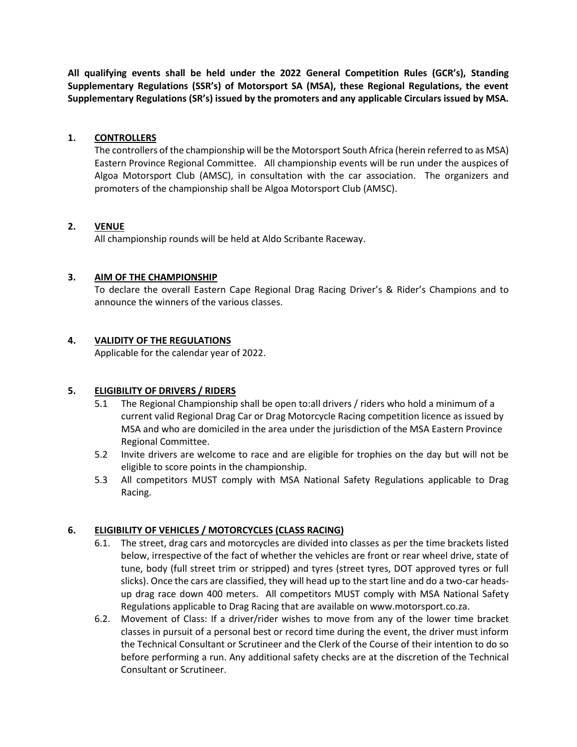**All qualifying events shall be held under the 2022 General Competition Rules (GCR's), Standing Supplementary Regulations (SSR's) of Motorsport SA (MSA), these Regional Regulations, the event Supplementary Regulations (SR's) issued by the promoters and any applicable Circulars issued by MSA.**

# **1. CONTROLLERS**

The controllers of the championship will be the Motorsport South Africa (herein referred to as MSA) Eastern Province Regional Committee. All championship events will be run under the auspices of Algoa Motorsport Club (AMSC), in consultation with the car association. The organizers and promoters of the championship shall be Algoa Motorsport Club (AMSC).

# **2. VENUE**

All championship rounds will be held at Aldo Scribante Raceway.

# **3. AIM OF THE CHAMPIONSHIP**

To declare the overall Eastern Cape Regional Drag Racing Driver's & Rider's Champions and to announce the winners of the various classes.

# **4. VALIDITY OF THE REGULATIONS**

Applicable for the calendar year of 2022.

## **5. ELIGIBILITY OF DRIVERS / RIDERS**

- 5.1 The Regional Championship shall be open to:all drivers / riders who hold a minimum of a current valid Regional Drag Car or Drag Motorcycle Racing competition licence as issued by MSA and who are domiciled in the area under the jurisdiction of the MSA Eastern Province Regional Committee.
- 5.2 Invite drivers are welcome to race and are eligible for trophies on the day but will not be eligible to score points in the championship.
- 5.3 All competitors MUST comply with MSA National Safety Regulations applicable to Drag Racing.

# **6. ELIGIBILITY OF VEHICLES / MOTORCYCLES (CLASS RACING)**

- 6.1. The street, drag cars and motorcycles are divided into classes as per the time brackets listed below, irrespective of the fact of whether the vehicles are front or rear wheel drive, state of tune, body (full street trim or stripped) and tyres (street tyres, DOT approved tyres or full slicks). Once the cars are classified, they will head up to the start line and do a two-car headsup drag race down 400 meters. All competitors MUST comply with MSA National Safety Regulations applicable to Drag Racing that are available on www.motorsport.co.za.
- 6.2. Movement of Class: If a driver/rider wishes to move from any of the lower time bracket classes in pursuit of a personal best or record time during the event, the driver must inform the Technical Consultant or Scrutineer and the Clerk of the Course of their intention to do so before performing a run. Any additional safety checks are at the discretion of the Technical Consultant or Scrutineer.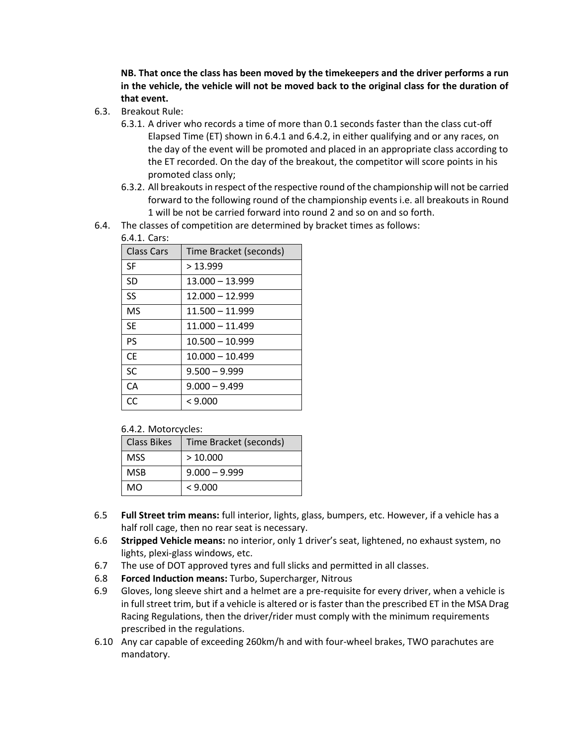**NB. That once the class has been moved by the timekeepers and the driver performs a run in the vehicle, the vehicle will not be moved back to the original class for the duration of that event.**

- 6.3. Breakout Rule:
	- 6.3.1. A driver who records a time of more than 0.1 seconds faster than the class cut-off Elapsed Time (ET) shown in 6.4.1 and 6.4.2, in either qualifying and or any races, on the day of the event will be promoted and placed in an appropriate class according to the ET recorded. On the day of the breakout, the competitor will score points in his promoted class only;
	- 6.3.2. All breakouts in respect of the respective round of the championship will not be carried forward to the following round of the championship events i.e. all breakouts in Round 1 will be not be carried forward into round 2 and so on and so forth.
- 6.4. The classes of competition are determined by bracket times as follows:

#### 6.4.1. Cars:

| <b>Class Cars</b> | Time Bracket (seconds) |
|-------------------|------------------------|
| SF                | >13.999                |
| <b>SD</b>         | $13.000 - 13.999$      |
| SS                | $12.000 - 12.999$      |
| MS                | $11.500 - 11.999$      |
| <b>SE</b>         | 11.000 - 11.499        |
| PS                | $10.500 - 10.999$      |
| <b>CE</b>         | $10.000 - 10.499$      |
| <b>SC</b>         | $9.500 - 9.999$        |
| CA                | $9.000 - 9.499$        |
| CC                | < 9.000                |

6.4.2. Motorcycles:

| <b>Class Bikes</b> | Time Bracket (seconds) |
|--------------------|------------------------|
| <b>MSS</b>         | >10.000                |
| <b>MSB</b>         | $9.000 - 9.999$        |
| MO                 | < 9.000                |

- 6.5 **Full Street trim means:** full interior, lights, glass, bumpers, etc. However, if a vehicle has a half roll cage, then no rear seat is necessary.
- 6.6 **Stripped Vehicle means:** no interior, only 1 driver's seat, lightened, no exhaust system, no lights, plexi-glass windows, etc.
- 6.7 The use of DOT approved tyres and full slicks and permitted in all classes.
- 6.8 **Forced Induction means:** Turbo, Supercharger, Nitrous
- 6.9 Gloves, long sleeve shirt and a helmet are a pre-requisite for every driver, when a vehicle is in full street trim, but if a vehicle is altered or is faster than the prescribed ET in the MSA Drag Racing Regulations, then the driver/rider must comply with the minimum requirements prescribed in the regulations.
- 6.10 Any car capable of exceeding 260km/h and with four-wheel brakes, TWO parachutes are mandatory.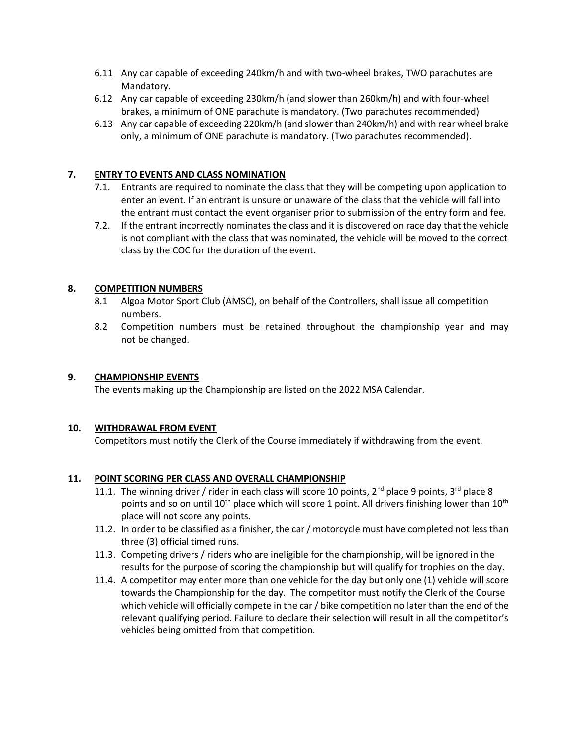- 6.11 Any car capable of exceeding 240km/h and with two-wheel brakes, TWO parachutes are Mandatory.
- 6.12 Any car capable of exceeding 230km/h (and slower than 260km/h) and with four-wheel brakes, a minimum of ONE parachute is mandatory. (Two parachutes recommended)
- 6.13 Any car capable of exceeding 220km/h (and slower than 240km/h) and with rear wheel brake only, a minimum of ONE parachute is mandatory. (Two parachutes recommended).

# **7. ENTRY TO EVENTS AND CLASS NOMINATION**

- 7.1. Entrants are required to nominate the class that they will be competing upon application to enter an event. If an entrant is unsure or unaware of the class that the vehicle will fall into the entrant must contact the event organiser prior to submission of the entry form and fee.
- 7.2. If the entrant incorrectly nominates the class and it is discovered on race day that the vehicle is not compliant with the class that was nominated, the vehicle will be moved to the correct class by the COC for the duration of the event.

# **8. COMPETITION NUMBERS**

- 8.1 Algoa Motor Sport Club (AMSC), on behalf of the Controllers, shall issue all competition numbers.
- 8.2 Competition numbers must be retained throughout the championship year and may not be changed.

## **9. CHAMPIONSHIP EVENTS**

The events making up the Championship are listed on the 2022 MSA Calendar.

## **10. WITHDRAWAL FROM EVENT**

Competitors must notify the Clerk of the Course immediately if withdrawing from the event.

## **11. POINT SCORING PER CLASS AND OVERALL CHAMPIONSHIP**

- 11.1. The winning driver / rider in each class will score 10 points, 2<sup>nd</sup> place 9 points, 3<sup>rd</sup> place 8 points and so on until  $10^{th}$  place which will score 1 point. All drivers finishing lower than  $10^{th}$ place will not score any points.
- 11.2. In order to be classified as a finisher, the car / motorcycle must have completed not less than three (3) official timed runs.
- 11.3. Competing drivers / riders who are ineligible for the championship, will be ignored in the results for the purpose of scoring the championship but will qualify for trophies on the day.
- 11.4. A competitor may enter more than one vehicle for the day but only one (1) vehicle will score towards the Championship for the day. The competitor must notify the Clerk of the Course which vehicle will officially compete in the car / bike competition no later than the end of the relevant qualifying period. Failure to declare their selection will result in all the competitor's vehicles being omitted from that competition.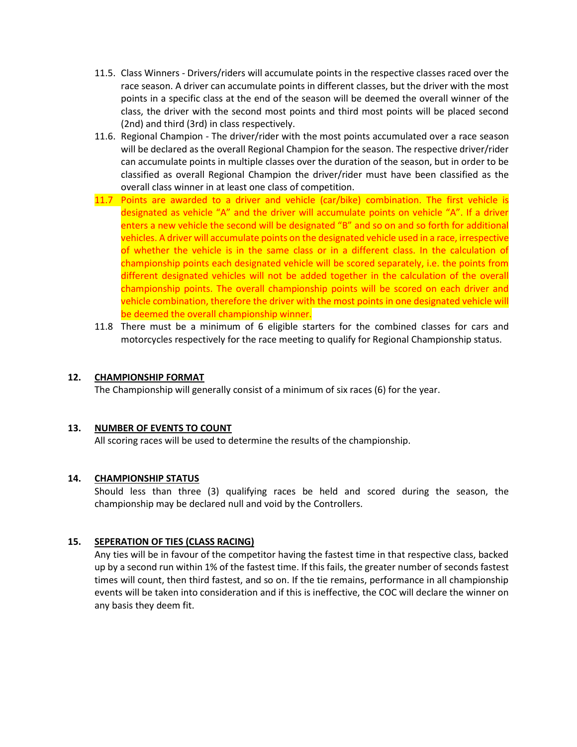- 11.5. Class Winners Drivers/riders will accumulate points in the respective classes raced over the race season. A driver can accumulate points in different classes, but the driver with the most points in a specific class at the end of the season will be deemed the overall winner of the class, the driver with the second most points and third most points will be placed second (2nd) and third (3rd) in class respectively.
- 11.6. Regional Champion The driver/rider with the most points accumulated over a race season will be declared as the overall Regional Champion for the season. The respective driver/rider can accumulate points in multiple classes over the duration of the season, but in order to be classified as overall Regional Champion the driver/rider must have been classified as the overall class winner in at least one class of competition.
- 11.7 Points are awarded to a driver and vehicle (car/bike) combination. The first vehicle is designated as vehicle "A" and the driver will accumulate points on vehicle "A". If a driver enters a new vehicle the second will be designated "B" and so on and so forth for additional vehicles. A driver will accumulate points on the designated vehicle used in a race, irrespective of whether the vehicle is in the same class or in a different class. In the calculation of championship points each designated vehicle will be scored separately, i.e. the points from different designated vehicles will not be added together in the calculation of the overall championship points. The overall championship points will be scored on each driver and vehicle combination, therefore the driver with the most points in one designated vehicle will be deemed the overall championship winner.
- 11.8 There must be a minimum of 6 eligible starters for the combined classes for cars and motorcycles respectively for the race meeting to qualify for Regional Championship status.

## **12. CHAMPIONSHIP FORMAT**

The Championship will generally consist of a minimum of six races (6) for the year.

## **13. NUMBER OF EVENTS TO COUNT**

All scoring races will be used to determine the results of the championship.

## **14. CHAMPIONSHIP STATUS**

Should less than three (3) qualifying races be held and scored during the season, the championship may be declared null and void by the Controllers.

## **15. SEPERATION OF TIES (CLASS RACING)**

Any ties will be in favour of the competitor having the fastest time in that respective class, backed up by a second run within 1% of the fastest time. If this fails, the greater number of seconds fastest times will count, then third fastest, and so on. If the tie remains, performance in all championship events will be taken into consideration and if this is ineffective, the COC will declare the winner on any basis they deem fit.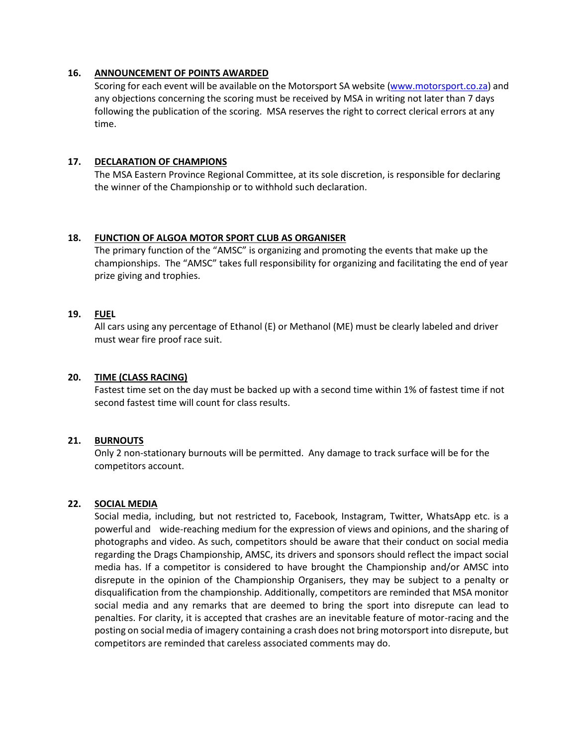#### **16. ANNOUNCEMENT OF POINTS AWARDED**

Scoring for each event will be available on the Motorsport SA website [\(www.motorsport.co.za\)](http://www.motorsport.co.za/) and any objections concerning the scoring must be received by MSA in writing not later than 7 days following the publication of the scoring. MSA reserves the right to correct clerical errors at any time.

#### **17. DECLARATION OF CHAMPIONS**

The MSA Eastern Province Regional Committee, at its sole discretion, is responsible for declaring the winner of the Championship or to withhold such declaration.

#### **18. FUNCTION OF ALGOA MOTOR SPORT CLUB AS ORGANISER**

The primary function of the "AMSC" is organizing and promoting the events that make up the championships. The "AMSC" takes full responsibility for organizing and facilitating the end of year prize giving and trophies.

#### **19. FUEL**

All cars using any percentage of Ethanol (E) or Methanol (ME) must be clearly labeled and driver must wear fire proof race suit.

#### **20. TIME (CLASS RACING)**

Fastest time set on the day must be backed up with a second time within 1% of fastest time if not second fastest time will count for class results.

## **21. BURNOUTS**

Only 2 non-stationary burnouts will be permitted. Any damage to track surface will be for the competitors account.

## **22. SOCIAL MEDIA**

Social media, including, but not restricted to, Facebook, Instagram, Twitter, WhatsApp etc. is a powerful and wide-reaching medium for the expression of views and opinions, and the sharing of photographs and video. As such, competitors should be aware that their conduct on social media regarding the Drags Championship, AMSC, its drivers and sponsors should reflect the impact social media has. If a competitor is considered to have brought the Championship and/or AMSC into disrepute in the opinion of the Championship Organisers, they may be subject to a penalty or disqualification from the championship. Additionally, competitors are reminded that MSA monitor social media and any remarks that are deemed to bring the sport into disrepute can lead to penalties. For clarity, it is accepted that crashes are an inevitable feature of motor-racing and the posting on social media of imagery containing a crash does not bring motorsport into disrepute, but competitors are reminded that careless associated comments may do.